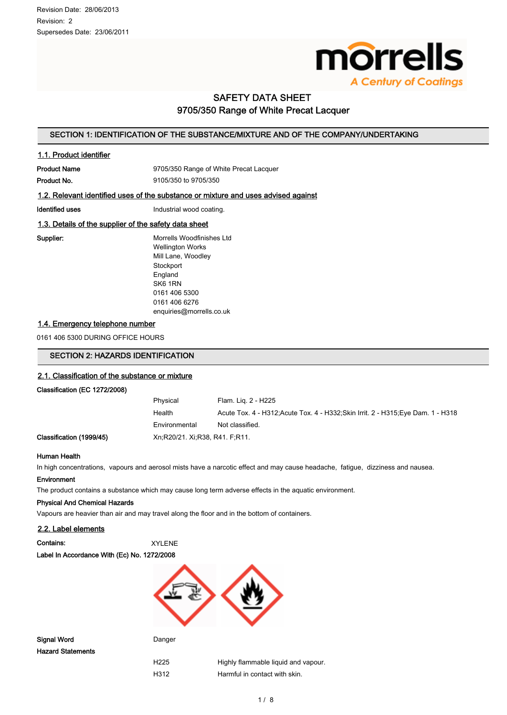

# SAFETY DATA SHEET 9705/350 Range of White Precat Lacquer

# SECTION 1: IDENTIFICATION OF THE SUBSTANCE/MIXTURE AND OF THE COMPANY/UNDERTAKING

# 1.1. Product identifier

Product Name **Product Name** 9705/350 Range of White Precat Lacquer

**Product No.** 9105/350 to 9705/350

# 1.2. Relevant identified uses of the substance or mixture and uses advised against

Identified uses **Industrial wood coating.** 

# 1.3. Details of the supplier of the safety data sheet

Supplier: Morrells Woodfinishes Ltd Wellington Works Mill Lane, Woodley **Stockport** England SK6 1RN 0161 406 5300 0161 406 6276 enquiries@morrells.co.uk

#### 1.4. Emergency telephone number

0161 406 5300 DURING OFFICE HOURS

# SECTION 2: HAZARDS IDENTIFICATION

#### 2.1. Classification of the substance or mixture

# Classification (EC 1272/2008)

|              | Physical                       | Flam. Lig. 2 - H225                                                               |
|--------------|--------------------------------|-----------------------------------------------------------------------------------|
|              | Health                         | Acute Tox. 4 - H312; Acute Tox. 4 - H332; Skin Irrit. 2 - H315; Eye Dam. 1 - H318 |
|              | Environmental                  | Not classified.                                                                   |
| on (1999/45) | Xn R20/21, Xi R38, R41, F.R11, |                                                                                   |

## Human Health

Classificati

In high concentrations, vapours and aerosol mists have a narcotic effect and may cause headache, fatigue, dizziness and nausea.

#### Environment

The product contains a substance which may cause long term adverse effects in the aquatic environment.

#### Physical And Chemical Hazards

Vapours are heavier than air and may travel along the floor and in the bottom of containers.

# 2.2. Label elements

| Contains:                                   | XYLENE |
|---------------------------------------------|--------|
| Label In Accordance With (Ec) No. 1272/2008 |        |



Signal Word **Danger** Danger Hazard Statements

H225 Highly flammable liquid and vapour. H312 Harmful in contact with skin.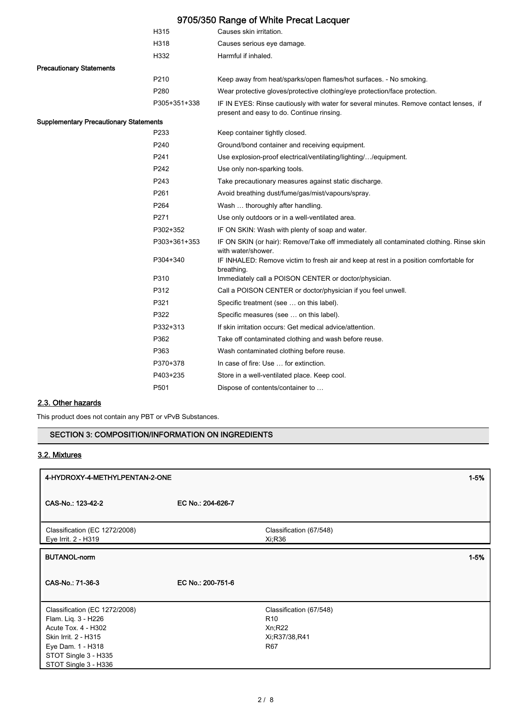|                                               |                  | 9705/350 Range of White Precat Lacquer                                                                                              |
|-----------------------------------------------|------------------|-------------------------------------------------------------------------------------------------------------------------------------|
|                                               | H315             | Causes skin irritation.                                                                                                             |
|                                               | H318             | Causes serious eye damage.                                                                                                          |
|                                               | H332             | Harmful if inhaled.                                                                                                                 |
| <b>Precautionary Statements</b>               |                  |                                                                                                                                     |
|                                               | P210             | Keep away from heat/sparks/open flames/hot surfaces. - No smoking.                                                                  |
|                                               | P280             | Wear protective gloves/protective clothing/eye protection/face protection.                                                          |
|                                               | P305+351+338     | IF IN EYES: Rinse cautiously with water for several minutes. Remove contact lenses, if<br>present and easy to do. Continue rinsing. |
| <b>Supplementary Precautionary Statements</b> |                  |                                                                                                                                     |
|                                               | P233             | Keep container tightly closed.                                                                                                      |
|                                               | P240             | Ground/bond container and receiving equipment.                                                                                      |
|                                               | P241             | Use explosion-proof electrical/ventilating/lighting//equipment.                                                                     |
|                                               | P242             | Use only non-sparking tools.                                                                                                        |
|                                               | P243             | Take precautionary measures against static discharge.                                                                               |
|                                               | P261             | Avoid breathing dust/fume/gas/mist/vapours/spray.                                                                                   |
|                                               | P264             | Wash  thoroughly after handling.                                                                                                    |
|                                               | P271             | Use only outdoors or in a well-ventilated area.                                                                                     |
|                                               | P302+352         | IF ON SKIN: Wash with plenty of soap and water.                                                                                     |
|                                               | P303+361+353     | IF ON SKIN (or hair): Remove/Take off immediately all contaminated clothing. Rinse skin<br>with water/shower.                       |
|                                               | P304+340         | IF INHALED: Remove victim to fresh air and keep at rest in a position comfortable for<br>breathing.                                 |
|                                               | P310             | Immediately call a POISON CENTER or doctor/physician.                                                                               |
|                                               | P312             | Call a POISON CENTER or doctor/physician if you feel unwell.                                                                        |
|                                               | P321             | Specific treatment (see  on this label).                                                                                            |
|                                               | P322             | Specific measures (see  on this label).                                                                                             |
|                                               | P332+313         | If skin irritation occurs: Get medical advice/attention.                                                                            |
|                                               | P362             | Take off contaminated clothing and wash before reuse.                                                                               |
|                                               | P363             | Wash contaminated clothing before reuse.                                                                                            |
|                                               | P370+378         | In case of fire: Use  for extinction.                                                                                               |
|                                               | P403+235         | Store in a well-ventilated place. Keep cool.                                                                                        |
|                                               | P <sub>501</sub> | Dispose of contents/container to                                                                                                    |

# 2.3. Other hazards

This product does not contain any PBT or vPvB Substances.

# SECTION 3: COMPOSITION/INFORMATION ON INGREDIENTS

# 3.2. Mixtures

| 4-HYDROXY-4-METHYLPENTAN-2-ONE                                                                                                                                           |                   |                                                                                      | $1 - 5%$ |
|--------------------------------------------------------------------------------------------------------------------------------------------------------------------------|-------------------|--------------------------------------------------------------------------------------|----------|
| CAS-No.: 123-42-2                                                                                                                                                        | EC No.: 204-626-7 |                                                                                      |          |
| Classification (EC 1272/2008)<br>Eye Irrit. 2 - H319                                                                                                                     |                   | Classification (67/548)<br>Xi:R36                                                    |          |
| <b>BUTANOL-norm</b>                                                                                                                                                      |                   |                                                                                      | $1 - 5%$ |
| CAS-No.: 71-36-3                                                                                                                                                         | EC No.: 200-751-6 |                                                                                      |          |
| Classification (EC 1272/2008)<br>Flam. Liq. 3 - H226<br>Acute Tox. 4 - H302<br>Skin Irrit. 2 - H315<br>Eye Dam. 1 - H318<br>STOT Single 3 - H335<br>STOT Single 3 - H336 |                   | Classification (67/548)<br>R <sub>10</sub><br>Xn; R22<br>Xi;R37/38,R41<br><b>R67</b> |          |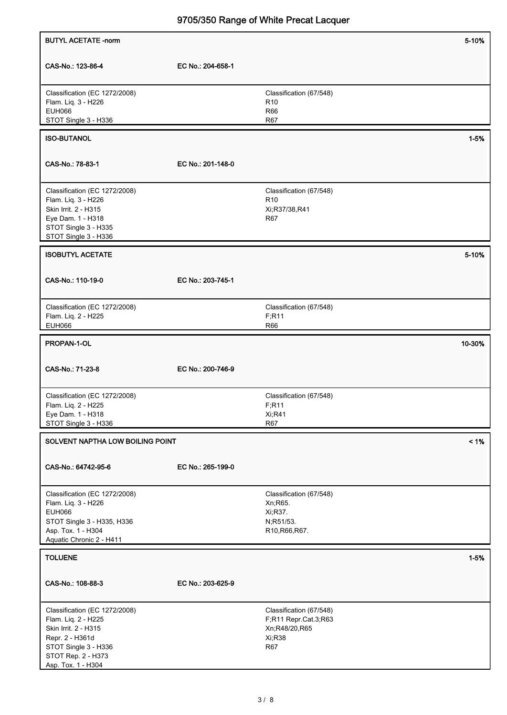| <b>BUTYL ACETATE -norm</b>                                                                                                                                          |                   |                                                                                          | 5-10%    |
|---------------------------------------------------------------------------------------------------------------------------------------------------------------------|-------------------|------------------------------------------------------------------------------------------|----------|
| CAS-No.: 123-86-4                                                                                                                                                   | EC No.: 204-658-1 |                                                                                          |          |
| Classification (EC 1272/2008)<br>Flam. Liq. 3 - H226<br><b>EUH066</b><br>STOT Single 3 - H336                                                                       |                   | Classification (67/548)<br>R <sub>10</sub><br><b>R66</b><br>R67                          |          |
| <b>ISO-BUTANOL</b>                                                                                                                                                  |                   |                                                                                          | $1 - 5%$ |
| CAS-No.: 78-83-1                                                                                                                                                    | EC No.: 201-148-0 |                                                                                          |          |
| Classification (EC 1272/2008)<br>Flam. Liq. 3 - H226<br>Skin Irrit. 2 - H315<br>Eye Dam. 1 - H318<br>STOT Single 3 - H335<br>STOT Single 3 - H336                   |                   | Classification (67/548)<br>R <sub>10</sub><br>Xi;R37/38,R41<br>R67                       |          |
| <b>ISOBUTYL ACETATE</b>                                                                                                                                             |                   |                                                                                          | 5-10%    |
| CAS-No.: 110-19-0                                                                                                                                                   | EC No.: 203-745-1 |                                                                                          |          |
| Classification (EC 1272/2008)<br>Flam. Liq. 2 - H225<br><b>EUH066</b>                                                                                               |                   | Classification (67/548)<br>F; R11<br><b>R66</b>                                          |          |
| PROPAN-1-OL                                                                                                                                                         |                   |                                                                                          | 10-30%   |
| CAS-No.: 71-23-8                                                                                                                                                    | EC No.: 200-746-9 |                                                                                          |          |
| Classification (EC 1272/2008)<br>Flam. Liq. 2 - H225<br>Eye Dam. 1 - H318<br>STOT Single 3 - H336                                                                   |                   | Classification (67/548)<br>F; R11<br><b>Xi;R41</b><br><b>R67</b>                         |          |
| SOLVENT NAPTHA LOW BOILING POINT                                                                                                                                    |                   |                                                                                          | $< 1\%$  |
| CAS-No.: 64742-95-6                                                                                                                                                 | EC No.: 265-199-0 |                                                                                          |          |
| Classification (EC 1272/2008)<br>Flam. Liq. 3 - H226<br><b>EUH066</b><br>STOT Single 3 - H335, H336<br>Asp. Tox. 1 - H304<br>Aquatic Chronic 2 - H411               |                   | Classification (67/548)<br>Xn; R65.<br>Xi, R37.<br>N;R51/53.<br>R10, R66, R67.           |          |
| <b>TOLUENE</b>                                                                                                                                                      |                   |                                                                                          | $1 - 5%$ |
| CAS-No.: 108-88-3                                                                                                                                                   | EC No.: 203-625-9 |                                                                                          |          |
| Classification (EC 1272/2008)<br>Flam. Liq. 2 - H225<br>Skin Irrit. 2 - H315<br>Repr. 2 - H361d<br>STOT Single 3 - H336<br>STOT Rep. 2 - H373<br>Asp. Tox. 1 - H304 |                   | Classification (67/548)<br>F;R11 Repr.Cat.3;R63<br>Xn;R48/20,R65<br>Xi;R38<br><b>R67</b> |          |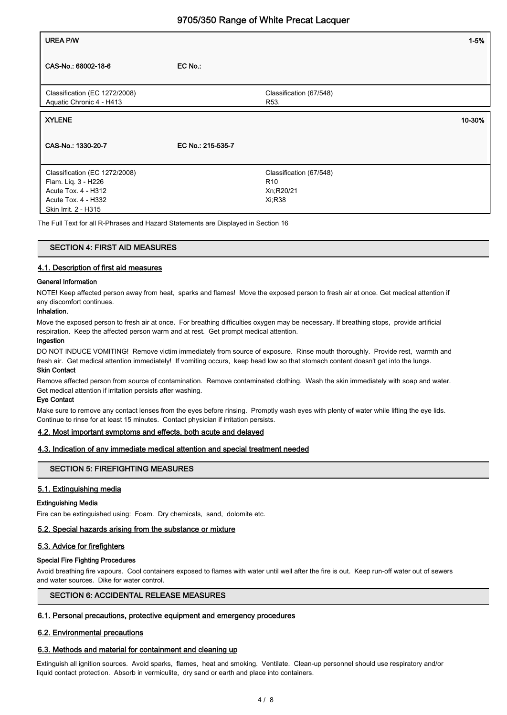| <b>UREA P/W</b>                                                                                                            |                   |                                                                   | $1 - 5%$ |
|----------------------------------------------------------------------------------------------------------------------------|-------------------|-------------------------------------------------------------------|----------|
| CAS-No.: 68002-18-6                                                                                                        | EC No.:           |                                                                   |          |
| Classification (EC 1272/2008)<br>Aquatic Chronic 4 - H413                                                                  |                   | Classification (67/548)<br>R <sub>53</sub>                        |          |
| <b>XYLENE</b>                                                                                                              |                   |                                                                   | 10-30%   |
| CAS-No.: 1330-20-7                                                                                                         | EC No.: 215-535-7 |                                                                   |          |
| Classification (EC 1272/2008)<br>Flam. Liq. 3 - H226<br>Acute Tox. 4 - H312<br>Acute Tox. 4 - H332<br>Skin Irrit. 2 - H315 |                   | Classification (67/548)<br>R <sub>10</sub><br>Xn;R20/21<br>Xi;R38 |          |

The Full Text for all R-Phrases and Hazard Statements are Displayed in Section 16

#### SECTION 4: FIRST AID MEASURES

## 4.1. Description of first aid measures

#### General Information

NOTE! Keep affected person away from heat, sparks and flames! Move the exposed person to fresh air at once. Get medical attention if any discomfort continues.

# Inhalation.

Move the exposed person to fresh air at once. For breathing difficulties oxygen may be necessary. If breathing stops, provide artificial respiration. Keep the affected person warm and at rest. Get prompt medical attention.

#### Ingestion

DO NOT INDUCE VOMITING! Remove victim immediately from source of exposure. Rinse mouth thoroughly. Provide rest, warmth and fresh air. Get medical attention immediately! If vomiting occurs, keep head low so that stomach content doesn't get into the lungs. Skin Contact

## Remove affected person from source of contamination. Remove contaminated clothing. Wash the skin immediately with soap and water. Get medical attention if irritation persists after washing.

#### Eye Contact

Make sure to remove any contact lenses from the eyes before rinsing. Promptly wash eyes with plenty of water while lifting the eye lids. Continue to rinse for at least 15 minutes. Contact physician if irritation persists.

#### 4.2. Most important symptoms and effects, both acute and delayed

#### 4.3. Indication of any immediate medical attention and special treatment needed

#### SECTION 5: FIREFIGHTING MEASURES

#### 5.1. Extinguishing media

#### Extinguishing Media

Fire can be extinguished using: Foam. Dry chemicals, sand, dolomite etc.

## 5.2. Special hazards arising from the substance or mixture

#### 5.3. Advice for firefighters

#### Special Fire Fighting Procedures

Avoid breathing fire vapours. Cool containers exposed to flames with water until well after the fire is out. Keep run-off water out of sewers and water sources. Dike for water control.

# SECTION 6: ACCIDENTAL RELEASE MEASURES

#### 6.1. Personal precautions, protective equipment and emergency procedures

# 6.2. Environmental precautions

#### 6.3. Methods and material for containment and cleaning up

Extinguish all ignition sources. Avoid sparks, flames, heat and smoking. Ventilate. Clean-up personnel should use respiratory and/or liquid contact protection. Absorb in vermiculite, dry sand or earth and place into containers.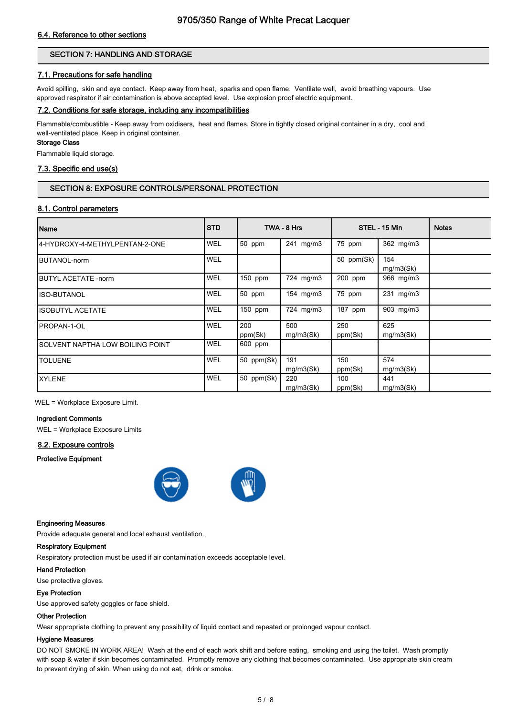# 6.4. Reference to other sections

# SECTION 7: HANDLING AND STORAGE

# 7.1. Precautions for safe handling

Avoid spilling, skin and eye contact. Keep away from heat, sparks and open flame. Ventilate well, avoid breathing vapours. Use approved respirator if air contamination is above accepted level. Use explosion proof electric equipment.

#### 7.2. Conditions for safe storage, including any incompatibilities

Flammable/combustible - Keep away from oxidisers, heat and flames. Store in tightly closed original container in a dry, cool and well-ventilated place. Keep in original container.

### Storage Class

Flammable liquid storage.

# 7.3. Specific end use(s)

# SECTION 8: EXPOSURE CONTROLS/PERSONAL PROTECTION

#### 8.1. Control parameters

| Name                              | <b>STD</b> |                | TWA - 8 Hrs      |                | STEL - 15 Min    | <b>Notes</b> |
|-----------------------------------|------------|----------------|------------------|----------------|------------------|--------------|
| 4-HYDROXY-4-METHYLPENTAN-2-ONE    | <b>WEL</b> | 50 ppm         | 241 mg/m3        | 75 ppm         | 362 mg/m3        |              |
| <b>IBUTANOL-norm</b>              | <b>WEL</b> |                |                  | 50 ppm(Sk)     | 154<br>mg/m3(Sk) |              |
| <b>IBUTYL ACETATE -norm</b>       | <b>WEL</b> | $150$ ppm      | 724 mg/m3        | $200$ ppm      | 966 mg/m3        |              |
| IISO-BUTANOL                      | <b>WEL</b> | 50 ppm         | 154 mg/m3        | 75 ppm         | 231 mg/m3        |              |
| <b>ISOBUTYL ACETATE</b>           | <b>WEL</b> | $150$ ppm      | 724 mg/m3        | 187 ppm        | 903 mg/m3        |              |
| <b>IPROPAN-1-OL</b>               | <b>WEL</b> | 200<br>ppm(Sk) | 500<br>mg/m3(Sk) | 250<br>ppm(Sk) | 625<br>mg/m3(Sk) |              |
| ISOLVENT NAPTHA LOW BOILING POINT | <b>WEL</b> | 600 ppm        |                  |                |                  |              |
| <b>TOLUENE</b>                    | <b>WEL</b> | 50 ppm(Sk)     | 191<br>mg/m3(Sk) | 150<br>ppm(Sk) | 574<br>mg/m3(Sk) |              |
| <b>XYLENE</b>                     | <b>WEL</b> | 50 ppm(Sk)     | 220<br>mg/m3(Sk) | 100<br>ppm(Sk) | 441<br>mg/m3(Sk) |              |

WEL = Workplace Exposure Limit.

#### Ingredient Comments

WEL = Workplace Exposure Limits

#### 8.2. Exposure controls

Protective Equipment



#### Engineering Measures

Provide adequate general and local exhaust ventilation.

### Respiratory Equipment

Respiratory protection must be used if air contamination exceeds acceptable level.

#### Hand Protection

Use protective gloves.

# Eye Protection

Use approved safety goggles or face shield.

# Other Protection

Wear appropriate clothing to prevent any possibility of liquid contact and repeated or prolonged vapour contact.

# Hygiene Measures

DO NOT SMOKE IN WORK AREA! Wash at the end of each work shift and before eating, smoking and using the toilet. Wash promptly with soap & water if skin becomes contaminated. Promptly remove any clothing that becomes contaminated. Use appropriate skin cream to prevent drying of skin. When using do not eat, drink or smoke.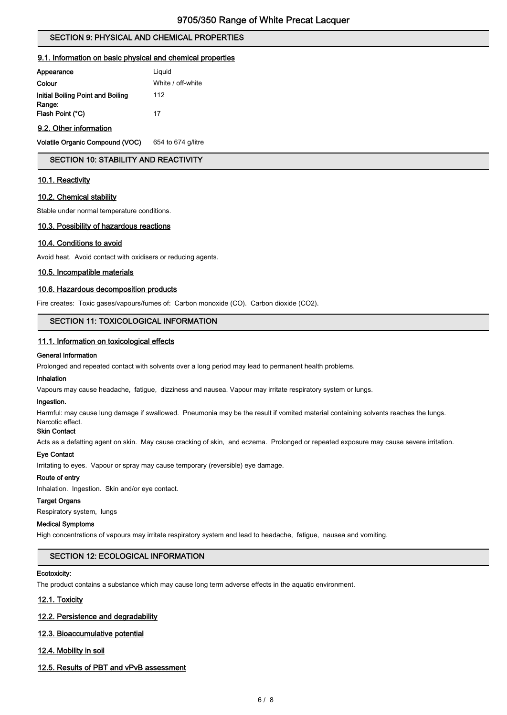# SECTION 9: PHYSICAL AND CHEMICAL PROPERTIES

#### 9.1. Information on basic physical and chemical properties

| Liquid            |
|-------------------|
| White / off-white |
| 112               |
| 17                |
|                   |

# 9.2. Other information

Volatile Organic Compound (VOC) 654 to 674 g/litre

# SECTION 10: STABILITY AND REACTIVITY

#### 10.1. Reactivity

#### 10.2. Chemical stability

Stable under normal temperature conditions.

#### 10.3. Possibility of hazardous reactions

#### 10.4. Conditions to avoid

Avoid heat. Avoid contact with oxidisers or reducing agents.

#### 10.5. Incompatible materials

### 10.6. Hazardous decomposition products

Fire creates: Toxic gases/vapours/fumes of: Carbon monoxide (CO). Carbon dioxide (CO2).

#### SECTION 11: TOXICOLOGICAL INFORMATION

#### 11.1. Information on toxicological effects

#### General Information

Prolonged and repeated contact with solvents over a long period may lead to permanent health problems.

#### Inhalation

Vapours may cause headache, fatigue, dizziness and nausea. Vapour may irritate respiratory system or lungs.

#### Ingestion.

Harmful: may cause lung damage if swallowed. Pneumonia may be the result if vomited material containing solvents reaches the lungs. Narcotic effect.

# Skin Contact

Acts as a defatting agent on skin. May cause cracking of skin, and eczema. Prolonged or repeated exposure may cause severe irritation.

#### Eye Contact

Irritating to eyes. Vapour or spray may cause temporary (reversible) eye damage.

#### Route of entry

Inhalation. Ingestion. Skin and/or eye contact.

# Target Organs

Respiratory system, lungs

#### Medical Symptoms

High concentrations of vapours may irritate respiratory system and lead to headache, fatigue, nausea and vomiting.

# SECTION 12: ECOLOGICAL INFORMATION

#### Ecotoxicity:

The product contains a substance which may cause long term adverse effects in the aquatic environment.

# 12.1. Toxicity

#### 12.2. Persistence and degradability

#### 12.3. Bioaccumulative potential

#### 12.4. Mobility in soil

#### 12.5. Results of PBT and vPvB assessment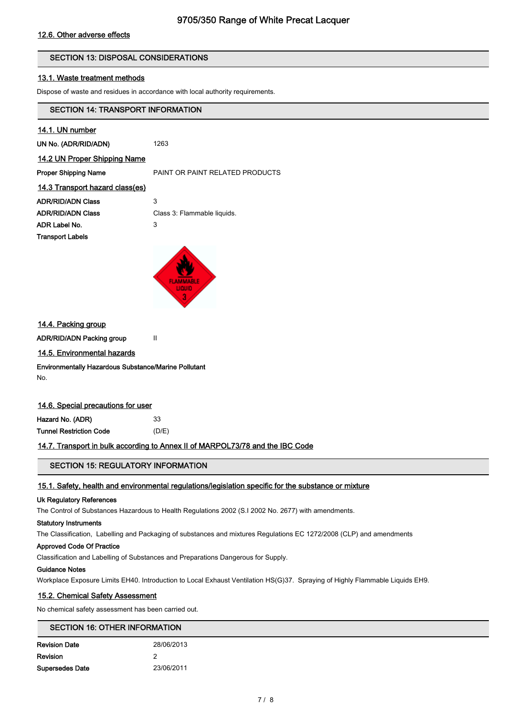# 12.6. Other adverse effects

# SECTION 13: DISPOSAL CONSIDERATIONS

#### 13.1. Waste treatment methods

Dispose of waste and residues in accordance with local authority requirements.

# SECTION 14: TRANSPORT INFORMATION

| 14.1. UN number                 |                                 |
|---------------------------------|---------------------------------|
| UN No. (ADR/RID/ADN)            | 1263                            |
| 14.2 UN Proper Shipping Name    |                                 |
| <b>Proper Shipping Name</b>     | PAINT OR PAINT RELATED PRODUCTS |
| 14.3 Transport hazard class(es) |                                 |
| <b>ADR/RID/ADN Class</b>        | 3                               |
| <b>ADR/RID/ADN Class</b>        | Class 3: Flammable liquids.     |
| ADR Label No.                   | 3                               |
| <b>Transport Labels</b>         |                                 |
|                                 |                                 |
|                                 |                                 |



#### 14.4. Packing group

ADR/RID/ADN Packing group II

#### 14.5. Environmental hazards

# Environmentally Hazardous Substance/Marine Pollutant

No.

# 14.6. Special precautions for user

| Hazard No. (ADR)        | 33    |
|-------------------------|-------|
| Tunnel Restriction Code | (D/E) |

## 14.7. Transport in bulk according to Annex II of MARPOL73/78 and the IBC Code

# SECTION 15: REGULATORY INFORMATION

# 15.1. Safety, health and environmental regulations/legislation specific for the substance or mixture

#### Uk Regulatory References

The Control of Substances Hazardous to Health Regulations 2002 (S.I 2002 No. 2677) with amendments.

#### Statutory Instruments

The Classification, Labelling and Packaging of substances and mixtures Regulations EC 1272/2008 (CLP) and amendments

### Approved Code Of Practice

Classification and Labelling of Substances and Preparations Dangerous for Supply.

#### Guidance Notes

Workplace Exposure Limits EH40. Introduction to Local Exhaust Ventilation HS(G)37. Spraying of Highly Flammable Liquids EH9.

# 15.2. Chemical Safety Assessment

No chemical safety assessment has been carried out.

# SECTION 16: OTHER INFORMATION

| <b>Revision Date</b>   | 28/06/2013 |
|------------------------|------------|
| Revision               | 2          |
| <b>Supersedes Date</b> | 23/06/2011 |